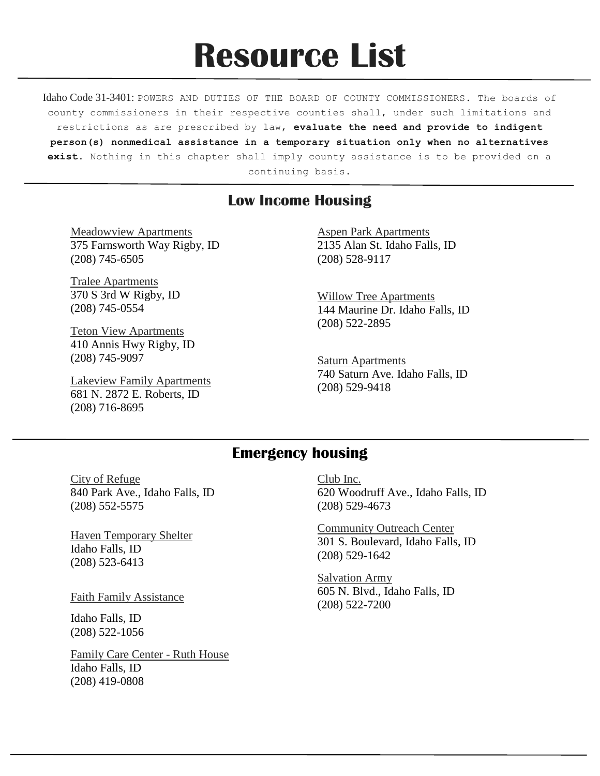# **Resource List**

Idaho Code 31-3401: POWERS AND DUTIES OF THE BOARD OF COUNTY COMMISSIONERS. The boards of county commissioners in their respective counties shall, under such limitations and restrictions as are prescribed by law, **evaluate the need and provide to indigent person(s) nonmedical assistance in a temporary situation only when no alternatives exist.** Nothing in this chapter shall imply county assistance is to be provided on a continuing basis.

# **Low Income Housing**

Meadowview Apartments 375 Farnsworth Way Rigby, ID (208) 745-6505

Tralee Apartments 370 S 3rd W Rigby, ID (208) 745-0554

Teton View Apartments 410 Annis Hwy Rigby, ID (208) 745-9097

Lakeview Family Apartments 681 N. 2872 E. Roberts, ID (208) 716-8695

Aspen Park Apartments 2135 Alan St. Idaho Falls, ID (208) 528-9117

Willow Tree Apartments 144 Maurine Dr. Idaho Falls, ID (208) 522-2895

**Saturn Apartments** 740 Saturn Ave. Idaho Falls, ID (208) 529-9418

# **Emergency housing**

City of Refuge 840 Park Ave., Idaho Falls, ID (208) 552-5575

Haven Temporary Shelter Idaho Falls, ID (208) 523-6413

Faith Family Assistance

Idaho Falls, ID (208) 522-1056

Family Care Center - Ruth House Idaho Falls, ID (208) 419-0808

Club Inc. 620 Woodruff Ave., Idaho Falls, ID (208) 529-4673

Community Outreach Center 301 S. Boulevard, Idaho Falls, ID (208) 529-1642

Salvation Army 605 N. Blvd., Idaho Falls, ID (208) 522-7200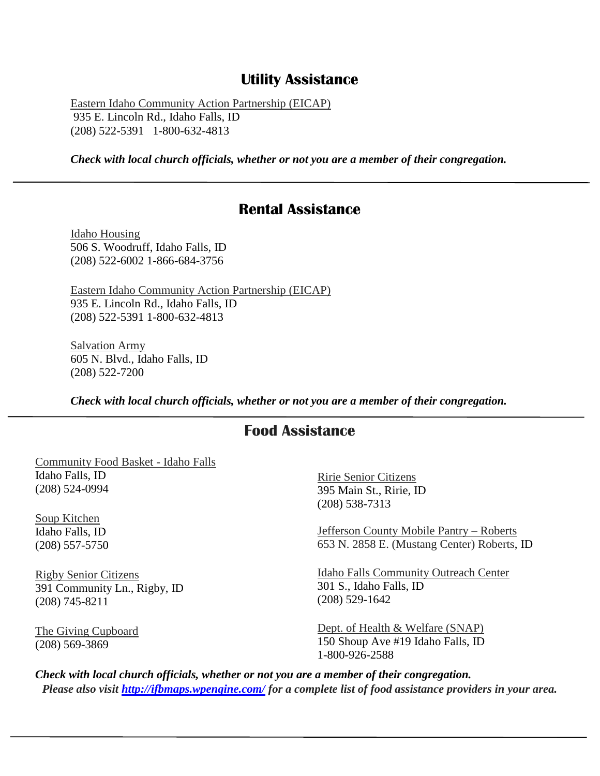## **Utility Assistance**

Eastern Idaho Community Action Partnership (EICAP) 935 E. Lincoln Rd., Idaho Falls, ID (208) 522-5391 1-800-632-4813

*Check with local church officials, whether or not you are a member of their congregation.*

## **Rental Assistance**

Idaho Housing 506 S. Woodruff, Idaho Falls, ID (208) 522-6002 1-866-684-3756

Eastern Idaho Community Action Partnership (EICAP) 935 E. Lincoln Rd., Idaho Falls, ID (208) 522-5391 1-800-632-4813

Salvation Army 605 N. Blvd., Idaho Falls, ID (208) 522-7200

*Check with local church officials, whether or not you are a member of their congregation.*

## **Food Assistance**

Community Food Basket - Idaho Falls Idaho Falls, ID (208) 524-0994

Soup Kitchen Idaho Falls, ID (208) 557-5750

Rigby Senior Citizens 391 Community Ln., Rigby, ID (208) 745-8211

The Giving Cupboard (208) 569-3869

Ririe Senior Citizens 395 Main St., Ririe, ID (208) 538-7313

Jefferson County Mobile Pantry – Roberts 653 N. 2858 E. (Mustang Center) Roberts, ID

Idaho Falls Community Outreach Center 301 S., Idaho Falls, ID (208) 529-1642

Dept. of Health & Welfare (SNAP) 150 Shoup Ave #19 Idaho Falls, ID 1-800-926-2588

*Check with local church officials, whether or not you are a member of their congregation. Please also visit<http://ifbmaps.wpengine.com/> for a complete list of food assistance providers in your area.*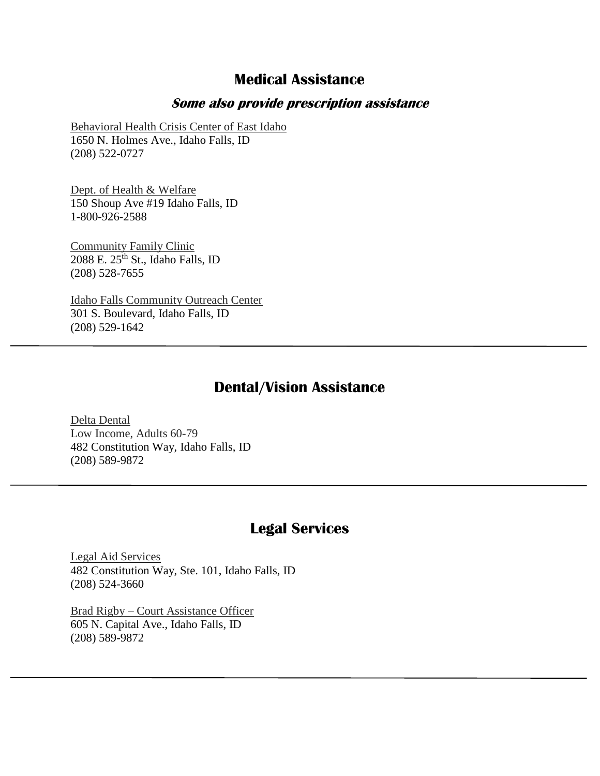# **Medical Assistance**

#### **Some also provide prescription assistance**

Behavioral Health Crisis Center of East Idaho 1650 N. Holmes Ave., Idaho Falls, ID (208) 522-0727

Dept. of Health & Welfare 150 Shoup Ave #19 Idaho Falls, ID 1-800-926-2588

Community Family Clinic  $2088$  E.  $25<sup>th</sup>$  St., Idaho Falls, ID (208) 528-7655

Idaho Falls Community Outreach Center 301 S. Boulevard, Idaho Falls, ID (208) 529-1642

## **Dental/Vision Assistance**

Delta Dental Low Income, Adults 60-79 482 Constitution Way, Idaho Falls, ID (208) 589-9872

## **Legal Services**

Legal Aid Services 482 Constitution Way, Ste. 101, Idaho Falls, ID (208) 524-3660

Brad Rigby – Court Assistance Officer 605 N. Capital Ave., Idaho Falls, ID (208) 589-9872